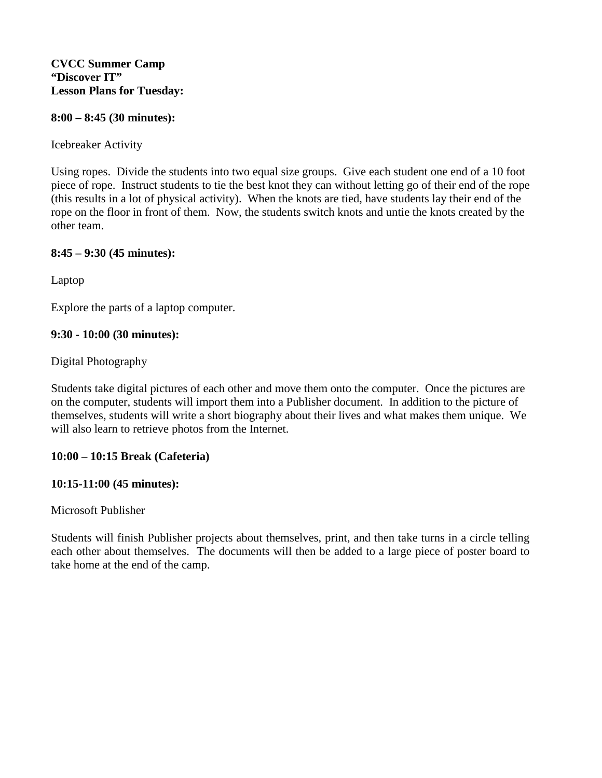#### **8:00 – 8:45 (30 minutes):**

#### Icebreaker Activity

Using ropes. Divide the students into two equal size groups. Give each student one end of a 10 foot piece of rope. Instruct students to tie the best knot they can without letting go of their end of the rope (this results in a lot of physical activity). When the knots are tied, have students lay their end of the rope on the floor in front of them. Now, the students switch knots and untie the knots created by the other team.

### **8:45 – 9:30 (45 minutes):**

Laptop

Explore the parts of a laptop computer.

### **9:30 - 10:00 (30 minutes):**

### Digital Photography

Students take digital pictures of each other and move them onto the computer. Once the pictures are on the computer, students will import them into a Publisher document. In addition to the picture of themselves, students will write a short biography about their lives and what makes them unique. We will also learn to retrieve photos from the Internet.

### **10:00 – 10:15 Break (Cafeteria)**

### **10:15-11:00 (45 minutes):**

Microsoft Publisher

Students will finish Publisher projects about themselves, print, and then take turns in a circle telling each other about themselves. The documents will then be added to a large piece of poster board to take home at the end of the camp.